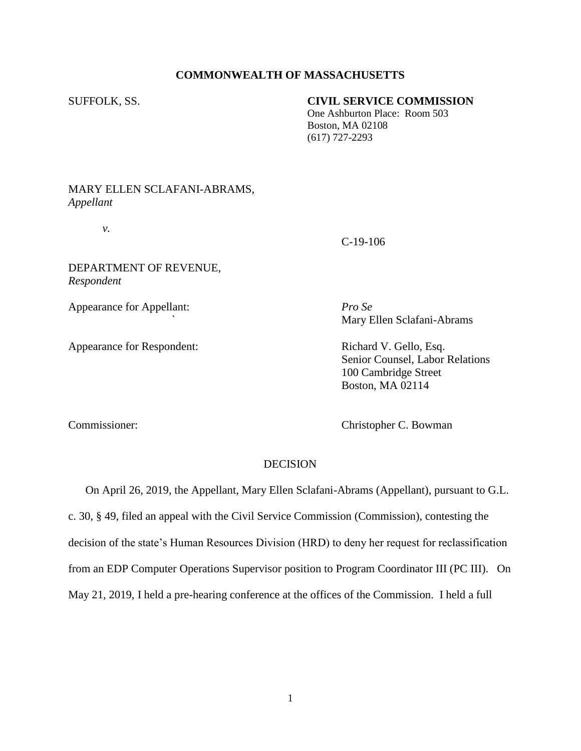## **COMMONWEALTH OF MASSACHUSETTS**

## SUFFOLK, SS. **CIVIL SERVICE COMMISSION**

 One Ashburton Place: Room 503 Boston, MA 02108 (617) 727-2293

## MARY ELLEN SCLAFANI-ABRAMS, *Appellant*

*v.*

C-19-106

DEPARTMENT OF REVENUE, *Respondent*

Appearance for Appellant: *Pro Se*

Appearance for Respondent: Richard V. Gello, Esq.

*`* Mary Ellen Sclafani-Abrams

Senior Counsel, Labor Relations 100 Cambridge Street Boston, MA 02114

Commissioner: Christopher C. Bowman

## DECISION

 On April 26, 2019, the Appellant, Mary Ellen Sclafani-Abrams (Appellant), pursuant to G.L. c. 30, § 49, filed an appeal with the Civil Service Commission (Commission), contesting the decision of the state's Human Resources Division (HRD) to deny her request for reclassification from an EDP Computer Operations Supervisor position to Program Coordinator III (PC III). On May 21, 2019, I held a pre-hearing conference at the offices of the Commission. I held a full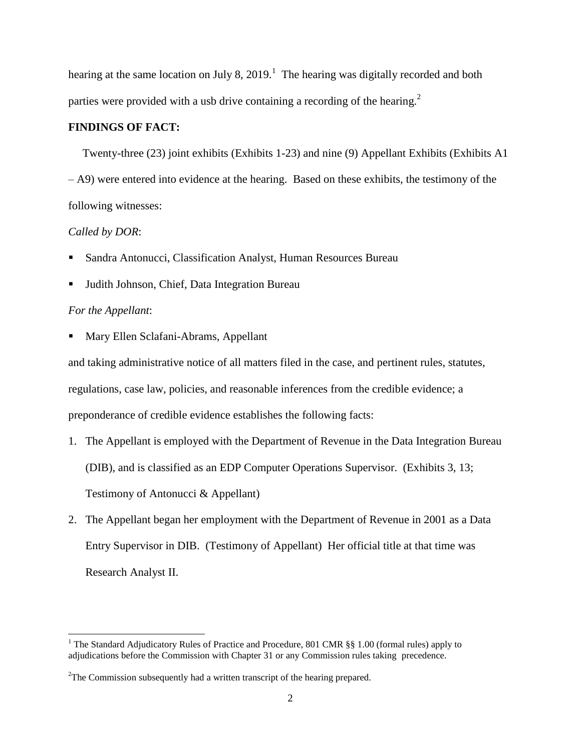hearing at the same location on July 8, 2019.<sup>1</sup> The hearing was digitally recorded and both parties were provided with a usb drive containing a recording of the hearing.<sup>2</sup>

## **FINDINGS OF FACT:**

Twenty-three (23) joint exhibits (Exhibits 1-23) and nine (9) Appellant Exhibits (Exhibits A1 – A9) were entered into evidence at the hearing. Based on these exhibits, the testimony of the following witnesses:

## *Called by DOR*:

- Sandra Antonucci, Classification Analyst, Human Resources Bureau
- Judith Johnson, Chief, Data Integration Bureau

### *For the Appellant*:

 $\overline{\phantom{a}}$ 

Mary Ellen Sclafani-Abrams, Appellant

and taking administrative notice of all matters filed in the case, and pertinent rules, statutes, regulations, case law, policies, and reasonable inferences from the credible evidence; a preponderance of credible evidence establishes the following facts:

- 1. The Appellant is employed with the Department of Revenue in the Data Integration Bureau (DIB), and is classified as an EDP Computer Operations Supervisor. (Exhibits 3, 13; Testimony of Antonucci & Appellant)
- 2. The Appellant began her employment with the Department of Revenue in 2001 as a Data Entry Supervisor in DIB. (Testimony of Appellant) Her official title at that time was Research Analyst II.

<sup>&</sup>lt;sup>1</sup> The Standard Adjudicatory Rules of Practice and Procedure, 801 CMR §§ 1.00 (formal rules) apply to adjudications before the Commission with Chapter 31 or any Commission rules taking precedence.

<sup>&</sup>lt;sup>2</sup>The Commission subsequently had a written transcript of the hearing prepared.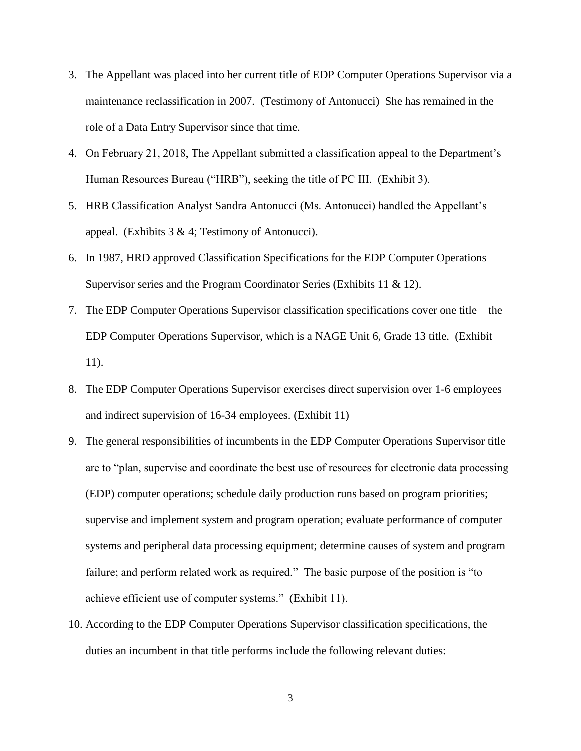- 3. The Appellant was placed into her current title of EDP Computer Operations Supervisor via a maintenance reclassification in 2007. (Testimony of Antonucci) She has remained in the role of a Data Entry Supervisor since that time.
- 4. On February 21, 2018, The Appellant submitted a classification appeal to the Department's Human Resources Bureau ("HRB"), seeking the title of PC III. (Exhibit 3).
- 5. HRB Classification Analyst Sandra Antonucci (Ms. Antonucci) handled the Appellant's appeal. (Exhibits  $3 \& 4$ ; Testimony of Antonucci).
- 6. In 1987, HRD approved Classification Specifications for the EDP Computer Operations Supervisor series and the Program Coordinator Series (Exhibits 11 & 12).
- 7. The EDP Computer Operations Supervisor classification specifications cover one title the EDP Computer Operations Supervisor, which is a NAGE Unit 6, Grade 13 title. (Exhibit 11).
- 8. The EDP Computer Operations Supervisor exercises direct supervision over 1-6 employees and indirect supervision of 16-34 employees. (Exhibit 11)
- 9. The general responsibilities of incumbents in the EDP Computer Operations Supervisor title are to "plan, supervise and coordinate the best use of resources for electronic data processing (EDP) computer operations; schedule daily production runs based on program priorities; supervise and implement system and program operation; evaluate performance of computer systems and peripheral data processing equipment; determine causes of system and program failure; and perform related work as required." The basic purpose of the position is "to achieve efficient use of computer systems." (Exhibit 11).
- 10. According to the EDP Computer Operations Supervisor classification specifications, the duties an incumbent in that title performs include the following relevant duties: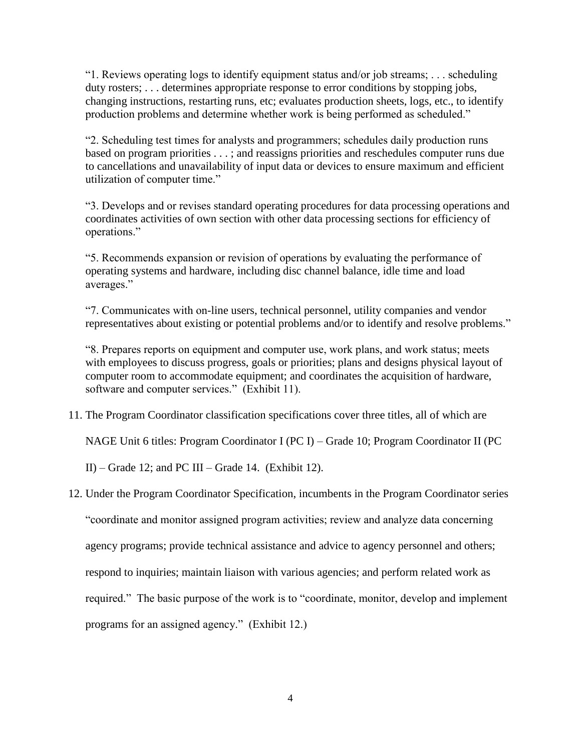"1. Reviews operating logs to identify equipment status and/or job streams; . . . scheduling duty rosters; ... determines appropriate response to error conditions by stopping jobs, changing instructions, restarting runs, etc; evaluates production sheets, logs, etc., to identify production problems and determine whether work is being performed as scheduled."

"2. Scheduling test times for analysts and programmers; schedules daily production runs based on program priorities . . . ; and reassigns priorities and reschedules computer runs due to cancellations and unavailability of input data or devices to ensure maximum and efficient utilization of computer time."

"3. Develops and or revises standard operating procedures for data processing operations and coordinates activities of own section with other data processing sections for efficiency of operations."

"5. Recommends expansion or revision of operations by evaluating the performance of operating systems and hardware, including disc channel balance, idle time and load averages."

"7. Communicates with on-line users, technical personnel, utility companies and vendor representatives about existing or potential problems and/or to identify and resolve problems."

"8. Prepares reports on equipment and computer use, work plans, and work status; meets with employees to discuss progress, goals or priorities; plans and designs physical layout of computer room to accommodate equipment; and coordinates the acquisition of hardware, software and computer services." (Exhibit 11).

11. The Program Coordinator classification specifications cover three titles, all of which are

NAGE Unit 6 titles: Program Coordinator I (PC I) – Grade 10; Program Coordinator II (PC

II) – Grade 12; and PC III – Grade 14. (Exhibit 12).

12. Under the Program Coordinator Specification, incumbents in the Program Coordinator series

"coordinate and monitor assigned program activities; review and analyze data concerning

agency programs; provide technical assistance and advice to agency personnel and others;

respond to inquiries; maintain liaison with various agencies; and perform related work as

required." The basic purpose of the work is to "coordinate, monitor, develop and implement

programs for an assigned agency." (Exhibit 12.)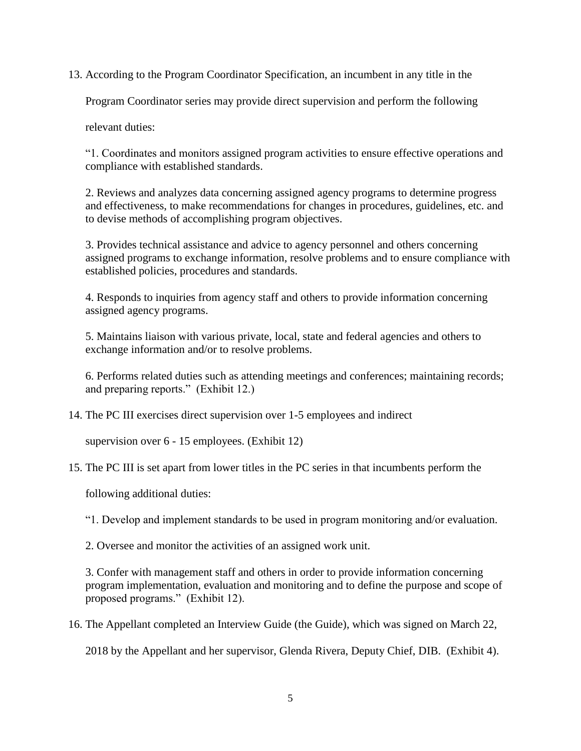13. According to the Program Coordinator Specification, an incumbent in any title in the

Program Coordinator series may provide direct supervision and perform the following

relevant duties:

"1. Coordinates and monitors assigned program activities to ensure effective operations and compliance with established standards.

2. Reviews and analyzes data concerning assigned agency programs to determine progress and effectiveness, to make recommendations for changes in procedures, guidelines, etc. and to devise methods of accomplishing program objectives.

3. Provides technical assistance and advice to agency personnel and others concerning assigned programs to exchange information, resolve problems and to ensure compliance with established policies, procedures and standards.

4. Responds to inquiries from agency staff and others to provide information concerning assigned agency programs.

5. Maintains liaison with various private, local, state and federal agencies and others to exchange information and/or to resolve problems.

6. Performs related duties such as attending meetings and conferences; maintaining records; and preparing reports." (Exhibit 12.)

14. The PC III exercises direct supervision over 1-5 employees and indirect

supervision over 6 - 15 employees. (Exhibit 12)

15. The PC III is set apart from lower titles in the PC series in that incumbents perform the

following additional duties:

"1. Develop and implement standards to be used in program monitoring and/or evaluation.

2. Oversee and monitor the activities of an assigned work unit.

3. Confer with management staff and others in order to provide information concerning program implementation, evaluation and monitoring and to define the purpose and scope of proposed programs." (Exhibit 12).

16. The Appellant completed an Interview Guide (the Guide), which was signed on March 22,

2018 by the Appellant and her supervisor, Glenda Rivera, Deputy Chief, DIB. (Exhibit 4).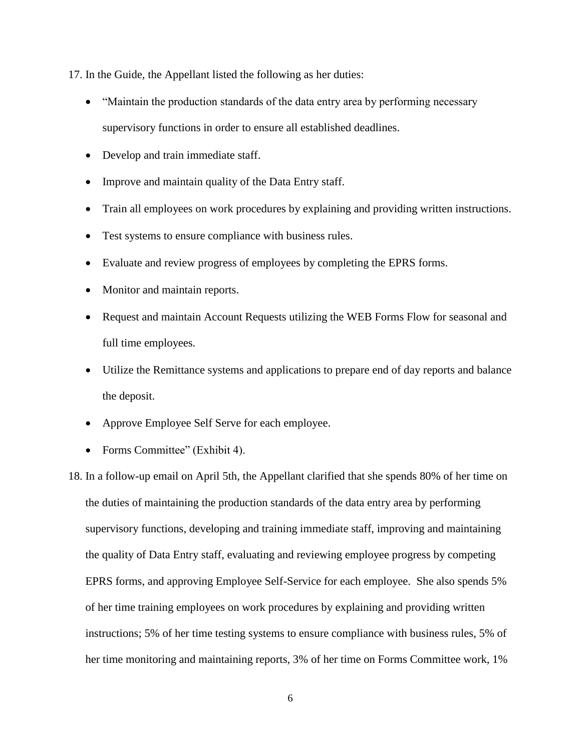17. In the Guide, the Appellant listed the following as her duties:

- "Maintain the production standards of the data entry area by performing necessary supervisory functions in order to ensure all established deadlines.
- Develop and train immediate staff.
- Improve and maintain quality of the Data Entry staff.
- Train all employees on work procedures by explaining and providing written instructions.
- Test systems to ensure compliance with business rules.
- Evaluate and review progress of employees by completing the EPRS forms.
- Monitor and maintain reports.
- Request and maintain Account Requests utilizing the WEB Forms Flow for seasonal and full time employees.
- Utilize the Remittance systems and applications to prepare end of day reports and balance the deposit.
- Approve Employee Self Serve for each employee.
- Forms Committee" (Exhibit 4).

18. In a follow-up email on April 5th, the Appellant clarified that she spends 80% of her time on the duties of maintaining the production standards of the data entry area by performing supervisory functions, developing and training immediate staff, improving and maintaining the quality of Data Entry staff, evaluating and reviewing employee progress by competing EPRS forms, and approving Employee Self-Service for each employee. She also spends 5% of her time training employees on work procedures by explaining and providing written instructions; 5% of her time testing systems to ensure compliance with business rules, 5% of her time monitoring and maintaining reports, 3% of her time on Forms Committee work, 1%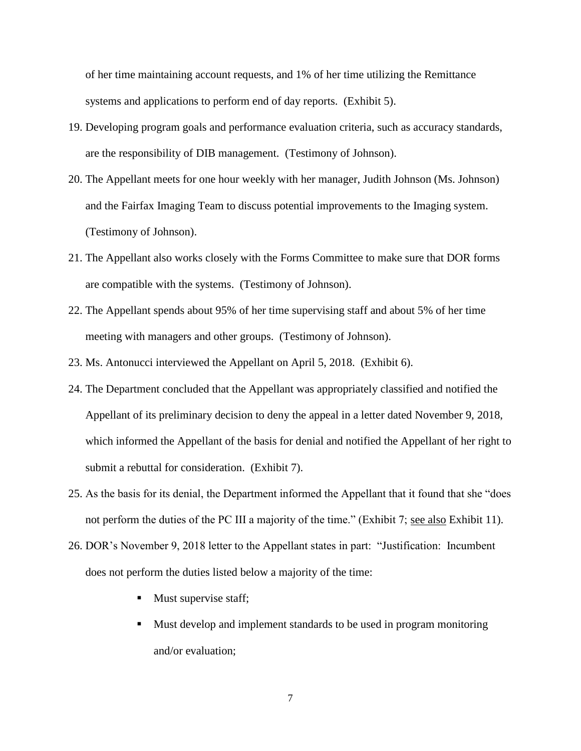of her time maintaining account requests, and 1% of her time utilizing the Remittance systems and applications to perform end of day reports. (Exhibit 5).

- 19. Developing program goals and performance evaluation criteria, such as accuracy standards, are the responsibility of DIB management. (Testimony of Johnson).
- 20. The Appellant meets for one hour weekly with her manager, Judith Johnson (Ms. Johnson) and the Fairfax Imaging Team to discuss potential improvements to the Imaging system. (Testimony of Johnson).
- 21. The Appellant also works closely with the Forms Committee to make sure that DOR forms are compatible with the systems. (Testimony of Johnson).
- 22. The Appellant spends about 95% of her time supervising staff and about 5% of her time meeting with managers and other groups. (Testimony of Johnson).
- 23. Ms. Antonucci interviewed the Appellant on April 5, 2018. (Exhibit 6).
- 24. The Department concluded that the Appellant was appropriately classified and notified the Appellant of its preliminary decision to deny the appeal in a letter dated November 9, 2018, which informed the Appellant of the basis for denial and notified the Appellant of her right to submit a rebuttal for consideration. (Exhibit 7).
- 25. As the basis for its denial, the Department informed the Appellant that it found that she "does not perform the duties of the PC III a majority of the time." (Exhibit 7; see also Exhibit 11).
- 26. DOR's November 9, 2018 letter to the Appellant states in part: "Justification: Incumbent does not perform the duties listed below a majority of the time:
	- Must supervise staff;
	- Must develop and implement standards to be used in program monitoring and/or evaluation;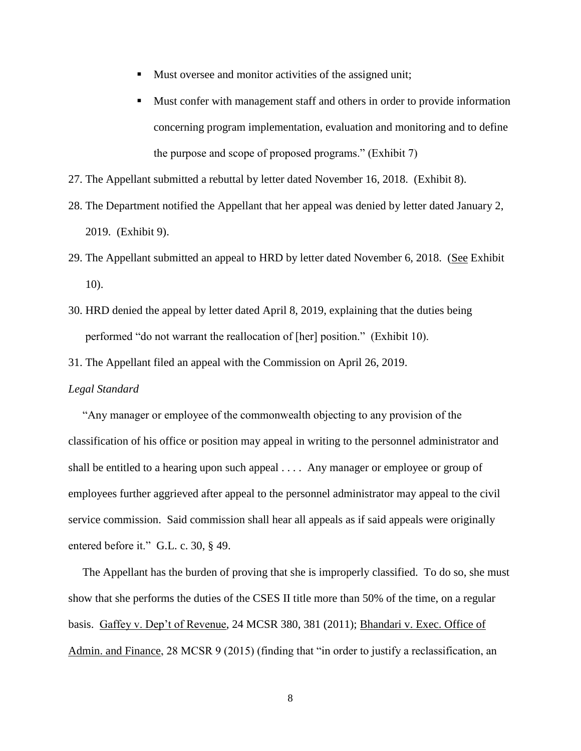- Must oversee and monitor activities of the assigned unit;
- Must confer with management staff and others in order to provide information concerning program implementation, evaluation and monitoring and to define the purpose and scope of proposed programs." (Exhibit 7)
- 27. The Appellant submitted a rebuttal by letter dated November 16, 2018. (Exhibit 8).
- 28. The Department notified the Appellant that her appeal was denied by letter dated January 2, 2019. (Exhibit 9).
- 29. The Appellant submitted an appeal to HRD by letter dated November 6, 2018. (See Exhibit 10).
- 30. HRD denied the appeal by letter dated April 8, 2019, explaining that the duties being performed "do not warrant the reallocation of [her] position." (Exhibit 10).
- 31. The Appellant filed an appeal with the Commission on April 26, 2019.

#### *Legal Standard*

 "Any manager or employee of the commonwealth objecting to any provision of the classification of his office or position may appeal in writing to the personnel administrator and shall be entitled to a hearing upon such appeal . . . . Any manager or employee or group of employees further aggrieved after appeal to the personnel administrator may appeal to the civil service commission. Said commission shall hear all appeals as if said appeals were originally entered before it." G.L. c. 30, § 49.

 The Appellant has the burden of proving that she is improperly classified. To do so, she must show that she performs the duties of the CSES II title more than 50% of the time, on a regular basis. Gaffey v. Dep't of Revenue, 24 MCSR 380, 381 (2011); Bhandari v. Exec. Office of Admin. and Finance, 28 MCSR 9 (2015) (finding that "in order to justify a reclassification, an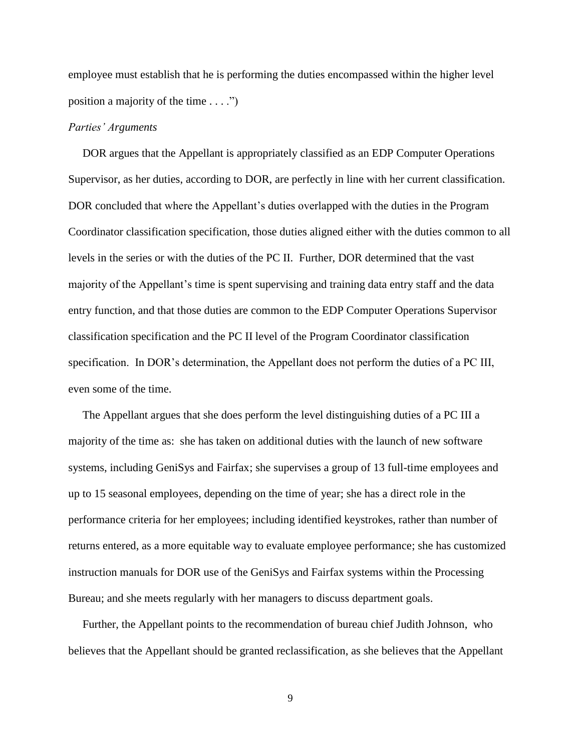employee must establish that he is performing the duties encompassed within the higher level position a majority of the time  $\dots$ .")

## *Parties' Arguments*

 DOR argues that the Appellant is appropriately classified as an EDP Computer Operations Supervisor, as her duties, according to DOR, are perfectly in line with her current classification. DOR concluded that where the Appellant's duties overlapped with the duties in the Program Coordinator classification specification, those duties aligned either with the duties common to all levels in the series or with the duties of the PC II. Further, DOR determined that the vast majority of the Appellant's time is spent supervising and training data entry staff and the data entry function, and that those duties are common to the EDP Computer Operations Supervisor classification specification and the PC II level of the Program Coordinator classification specification. In DOR's determination, the Appellant does not perform the duties of a PC III, even some of the time.

 The Appellant argues that she does perform the level distinguishing duties of a PC III a majority of the time as: she has taken on additional duties with the launch of new software systems, including GeniSys and Fairfax; she supervises a group of 13 full-time employees and up to 15 seasonal employees, depending on the time of year; she has a direct role in the performance criteria for her employees; including identified keystrokes, rather than number of returns entered, as a more equitable way to evaluate employee performance; she has customized instruction manuals for DOR use of the GeniSys and Fairfax systems within the Processing Bureau; and she meets regularly with her managers to discuss department goals.

 Further, the Appellant points to the recommendation of bureau chief Judith Johnson, who believes that the Appellant should be granted reclassification, as she believes that the Appellant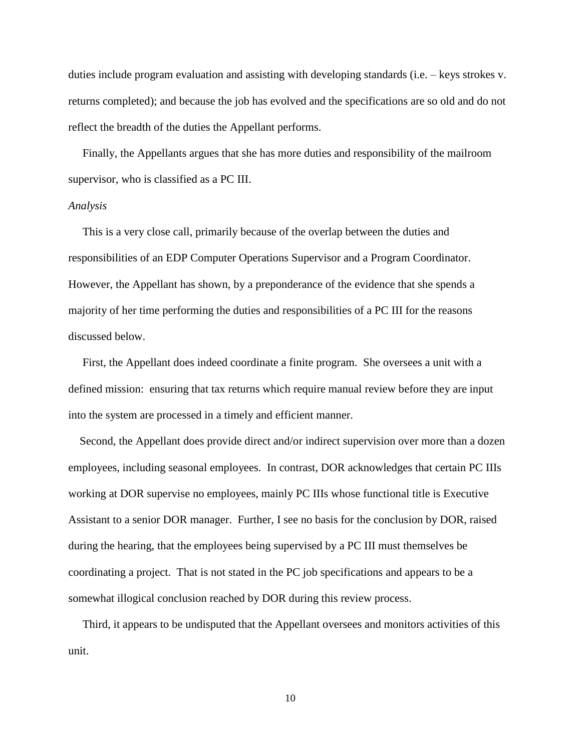duties include program evaluation and assisting with developing standards (i.e. – keys strokes v. returns completed); and because the job has evolved and the specifications are so old and do not reflect the breadth of the duties the Appellant performs.

 Finally, the Appellants argues that she has more duties and responsibility of the mailroom supervisor, who is classified as a PC III.

#### *Analysis*

 This is a very close call, primarily because of the overlap between the duties and responsibilities of an EDP Computer Operations Supervisor and a Program Coordinator. However, the Appellant has shown, by a preponderance of the evidence that she spends a majority of her time performing the duties and responsibilities of a PC III for the reasons discussed below.

 First, the Appellant does indeed coordinate a finite program. She oversees a unit with a defined mission: ensuring that tax returns which require manual review before they are input into the system are processed in a timely and efficient manner.

 Second, the Appellant does provide direct and/or indirect supervision over more than a dozen employees, including seasonal employees. In contrast, DOR acknowledges that certain PC IIIs working at DOR supervise no employees, mainly PC IIIs whose functional title is Executive Assistant to a senior DOR manager. Further, I see no basis for the conclusion by DOR, raised during the hearing, that the employees being supervised by a PC III must themselves be coordinating a project. That is not stated in the PC job specifications and appears to be a somewhat illogical conclusion reached by DOR during this review process.

 Third, it appears to be undisputed that the Appellant oversees and monitors activities of this unit.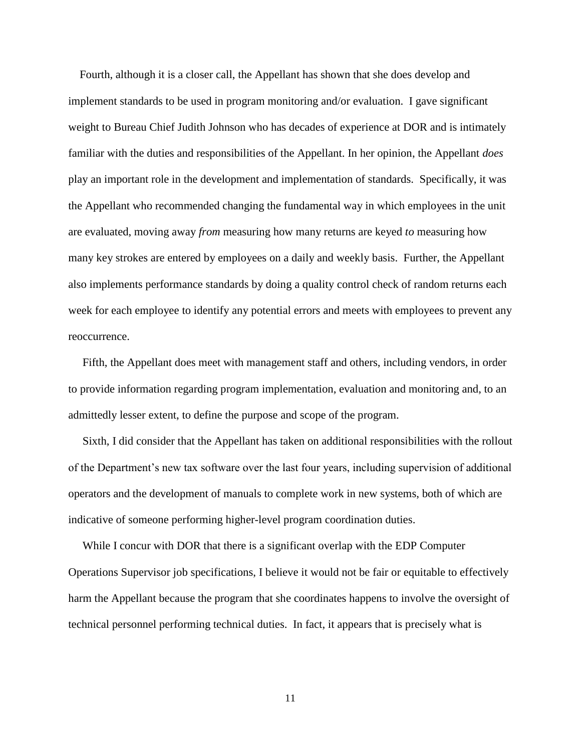Fourth, although it is a closer call, the Appellant has shown that she does develop and implement standards to be used in program monitoring and/or evaluation. I gave significant weight to Bureau Chief Judith Johnson who has decades of experience at DOR and is intimately familiar with the duties and responsibilities of the Appellant. In her opinion, the Appellant *does* play an important role in the development and implementation of standards. Specifically, it was the Appellant who recommended changing the fundamental way in which employees in the unit are evaluated, moving away *from* measuring how many returns are keyed *to* measuring how many key strokes are entered by employees on a daily and weekly basis. Further, the Appellant also implements performance standards by doing a quality control check of random returns each week for each employee to identify any potential errors and meets with employees to prevent any reoccurrence.

 Fifth, the Appellant does meet with management staff and others, including vendors, in order to provide information regarding program implementation, evaluation and monitoring and, to an admittedly lesser extent, to define the purpose and scope of the program.

 Sixth, I did consider that the Appellant has taken on additional responsibilities with the rollout of the Department's new tax software over the last four years, including supervision of additional operators and the development of manuals to complete work in new systems, both of which are indicative of someone performing higher-level program coordination duties.

While I concur with DOR that there is a significant overlap with the EDP Computer Operations Supervisor job specifications, I believe it would not be fair or equitable to effectively harm the Appellant because the program that she coordinates happens to involve the oversight of technical personnel performing technical duties. In fact, it appears that is precisely what is